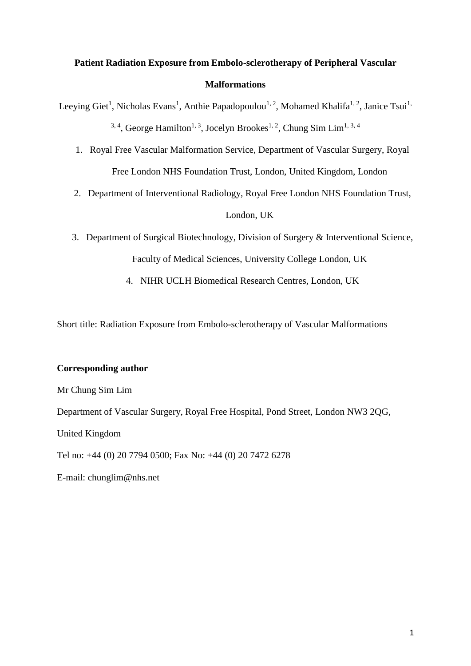# **Patient Radiation Exposure from Embolo-sclerotherapy of Peripheral Vascular Malformations**

Leeying Giet<sup>1</sup>, Nicholas Evans<sup>1</sup>, Anthie Papadopoulou<sup>1, 2</sup>, Mohamed Khalifa<sup>1, 2</sup>, Janice Tsui<sup>1,</sup> <sup>3, 4</sup>, George Hamilton<sup>1, 3</sup>, Jocelyn Brookes<sup>1, 2</sup>, Chung Sim Lim<sup>1, 3, 4</sup>

- 1. Royal Free Vascular Malformation Service, Department of Vascular Surgery, Royal Free London NHS Foundation Trust, London, United Kingdom, London
- 2. Department of Interventional Radiology, Royal Free London NHS Foundation Trust,

# London, UK

- 3. Department of Surgical Biotechnology, Division of Surgery & Interventional Science, Faculty of Medical Sciences, University College London, UK
	- 4. NIHR UCLH Biomedical Research Centres, London, UK

Short title: Radiation Exposure from Embolo-sclerotherapy of Vascular Malformations

# **Corresponding author**

Mr Chung Sim Lim

Department of Vascular Surgery, Royal Free Hospital, Pond Street, London NW3 2QG,

United Kingdom

Tel no: +44 (0) 20 7794 0500; Fax No: +44 (0) 20 7472 6278

E-mail: chunglim@nhs.net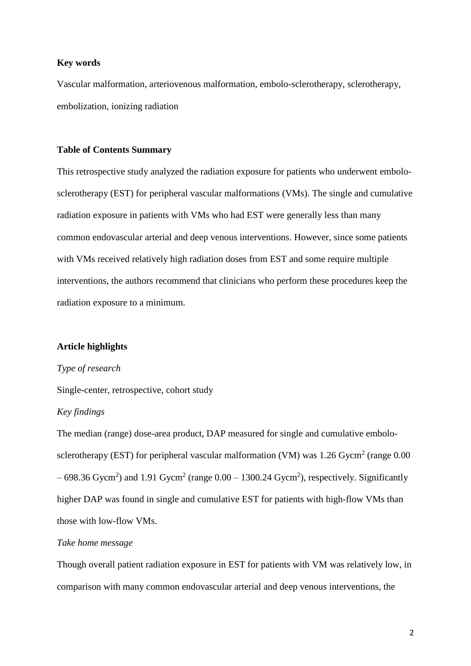# **Key words**

Vascular malformation, arteriovenous malformation, embolo-sclerotherapy, sclerotherapy, embolization, ionizing radiation

#### **Table of Contents Summary**

This retrospective study analyzed the radiation exposure for patients who underwent embolosclerotherapy (EST) for peripheral vascular malformations (VMs). The single and cumulative radiation exposure in patients with VMs who had EST were generally less than many common endovascular arterial and deep venous interventions. However, since some patients with VMs received relatively high radiation doses from EST and some require multiple interventions, the authors recommend that clinicians who perform these procedures keep the radiation exposure to a minimum.

# **Article highlights**

#### *Type of research*

Single-center, retrospective, cohort study

#### *Key findings*

The median (range) dose-area product, DAP measured for single and cumulative embolosclerotherapy (EST) for peripheral vascular malformation (VM) was 1.26 Gycm<sup>2</sup> (range 0.00  $-698.36$  Gycm<sup>2</sup>) and 1.91 Gycm<sup>2</sup> (range  $0.00 - 1300.24$  Gycm<sup>2</sup>), respectively. Significantly higher DAP was found in single and cumulative EST for patients with high-flow VMs than those with low-flow VMs.

# *Take home message*

Though overall patient radiation exposure in EST for patients with VM was relatively low, in comparison with many common endovascular arterial and deep venous interventions, the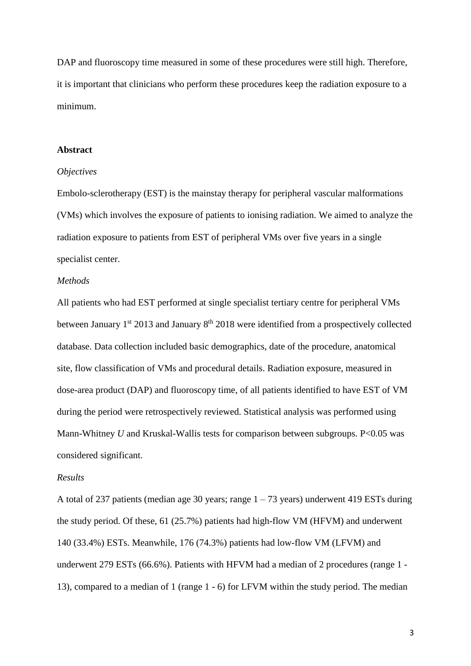DAP and fluoroscopy time measured in some of these procedures were still high. Therefore, it is important that clinicians who perform these procedures keep the radiation exposure to a minimum.

#### **Abstract**

#### *Objectives*

Embolo-sclerotherapy (EST) is the mainstay therapy for peripheral vascular malformations (VMs) which involves the exposure of patients to ionising radiation. We aimed to analyze the radiation exposure to patients from EST of peripheral VMs over five years in a single specialist center.

# *Methods*

All patients who had EST performed at single specialist tertiary centre for peripheral VMs between January 1<sup>st</sup> 2013 and January 8<sup>th</sup> 2018 were identified from a prospectively collected database. Data collection included basic demographics, date of the procedure, anatomical site, flow classification of VMs and procedural details. Radiation exposure, measured in dose-area product (DAP) and fluoroscopy time, of all patients identified to have EST of VM during the period were retrospectively reviewed. Statistical analysis was performed using Mann-Whitney *U* and Kruskal-Wallis tests for comparison between subgroups. P<0.05 was considered significant.

#### *Results*

A total of 237 patients (median age 30 years; range  $1 - 73$  years) underwent 419 ESTs during the study period. Of these, 61 (25.7%) patients had high-flow VM (HFVM) and underwent 140 (33.4%) ESTs. Meanwhile, 176 (74.3%) patients had low-flow VM (LFVM) and underwent 279 ESTs (66.6%). Patients with HFVM had a median of 2 procedures (range 1 - 13), compared to a median of 1 (range 1 - 6) for LFVM within the study period. The median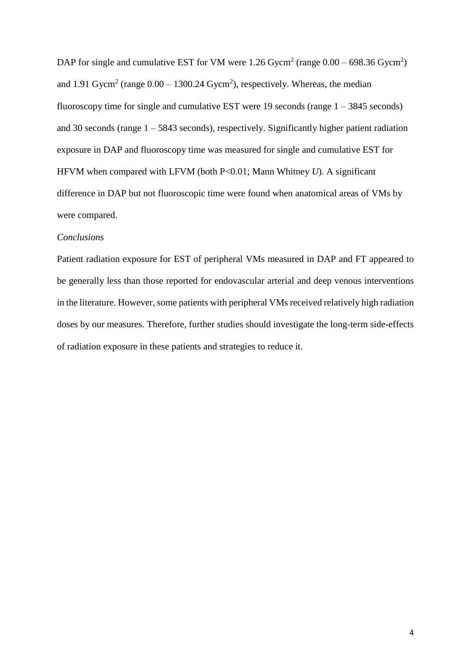DAP for single and cumulative EST for VM were 1.26 Gycm<sup>2</sup> (range  $0.00 - 698.36$  Gycm<sup>2</sup>) and 1.91 Gycm<sup>2</sup> (range  $0.00 - 1300.24$  Gycm<sup>2</sup>), respectively. Whereas, the median fluoroscopy time for single and cumulative EST were 19 seconds (range  $1 - 3845$  seconds) and 30 seconds (range 1 – 5843 seconds), respectively. Significantly higher patient radiation exposure in DAP and fluoroscopy time was measured for single and cumulative EST for HFVM when compared with LFVM (both P<0.01; Mann Whitney *U*). A significant difference in DAP but not fluoroscopic time were found when anatomical areas of VMs by were compared.

#### *Conclusions*

Patient radiation exposure for EST of peripheral VMs measured in DAP and FT appeared to be generally less than those reported for endovascular arterial and deep venous interventions in the literature. However, some patients with peripheral VMs received relatively high radiation doses by our measures. Therefore, further studies should investigate the long-term side-effects of radiation exposure in these patients and strategies to reduce it.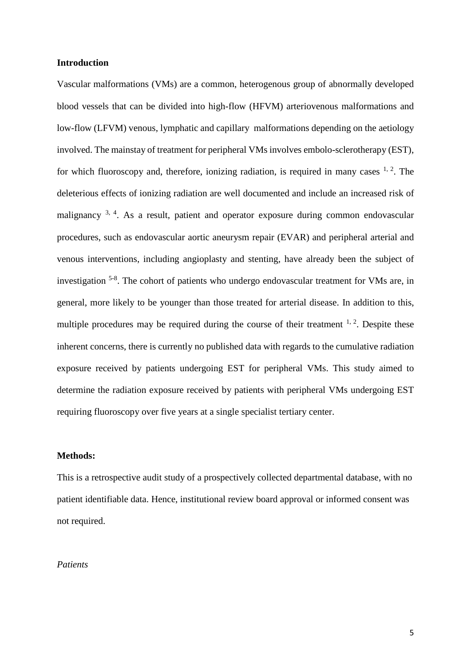#### **Introduction**

Vascular malformations (VMs) are a common, heterogenous group of abnormally developed blood vessels that can be divided into high-flow (HFVM) arteriovenous malformations and low-flow (LFVM) venous, lymphatic and capillary malformations depending on the aetiology involved. The mainstay of treatment for peripheral VMs involves embolo-sclerotherapy (EST), for which fluoroscopy and, therefore, ionizing radiation, is required in many cases  $1, 2$ . The deleterious effects of ionizing radiation are well documented and include an increased risk of malignancy <sup>3, 4</sup>. As a result, patient and operator exposure during common endovascular procedures, such as endovascular aortic aneurysm repair (EVAR) and peripheral arterial and venous interventions, including angioplasty and stenting, have already been the subject of investigation <sup>5-8</sup>. The cohort of patients who undergo endovascular treatment for VMs are, in general, more likely to be younger than those treated for arterial disease. In addition to this, multiple procedures may be required during the course of their treatment  $1, 2$ . Despite these inherent concerns, there is currently no published data with regards to the cumulative radiation exposure received by patients undergoing EST for peripheral VMs. This study aimed to determine the radiation exposure received by patients with peripheral VMs undergoing EST requiring fluoroscopy over five years at a single specialist tertiary center.

# **Methods:**

This is a retrospective audit study of a prospectively collected departmental database, with no patient identifiable data. Hence, institutional review board approval or informed consent was not required.

# *Patients*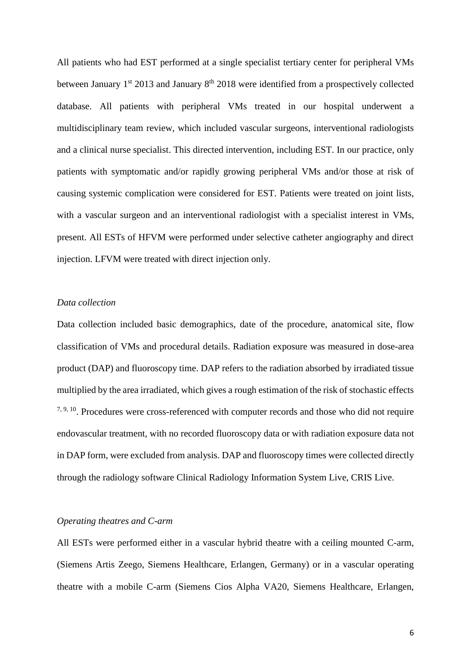All patients who had EST performed at a single specialist tertiary center for peripheral VMs between January  $1<sup>st</sup>$  2013 and January  $8<sup>th</sup>$  2018 were identified from a prospectively collected database. All patients with peripheral VMs treated in our hospital underwent a multidisciplinary team review, which included vascular surgeons, interventional radiologists and a clinical nurse specialist. This directed intervention, including EST. In our practice, only patients with symptomatic and/or rapidly growing peripheral VMs and/or those at risk of causing systemic complication were considered for EST. Patients were treated on joint lists, with a vascular surgeon and an interventional radiologist with a specialist interest in VMs, present. All ESTs of HFVM were performed under selective catheter angiography and direct injection. LFVM were treated with direct injection only.

#### *Data collection*

Data collection included basic demographics, date of the procedure, anatomical site, flow classification of VMs and procedural details. Radiation exposure was measured in dose-area product (DAP) and fluoroscopy time. DAP refers to the radiation absorbed by irradiated tissue multiplied by the area irradiated, which gives a rough estimation of the risk of stochastic effects <sup>7, 9, 10</sup>. Procedures were cross-referenced with computer records and those who did not require endovascular treatment, with no recorded fluoroscopy data or with radiation exposure data not in DAP form, were excluded from analysis. DAP and fluoroscopy times were collected directly through the radiology software Clinical Radiology Information System Live, CRIS Live.

# *Operating theatres and C-arm*

All ESTs were performed either in a vascular hybrid theatre with a ceiling mounted C-arm, (Siemens Artis Zeego, Siemens Healthcare, Erlangen, Germany) or in a vascular operating theatre with a mobile C-arm (Siemens Cios Alpha VA20, Siemens Healthcare, Erlangen,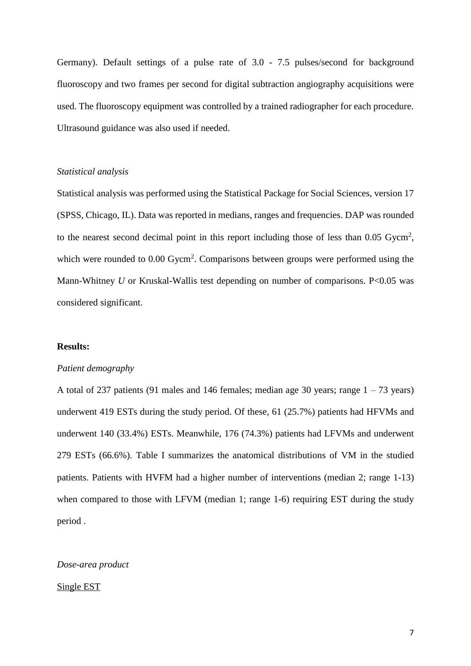Germany). Default settings of a pulse rate of 3.0 - 7.5 pulses/second for background fluoroscopy and two frames per second for digital subtraction angiography acquisitions were used. The fluoroscopy equipment was controlled by a trained radiographer for each procedure. Ultrasound guidance was also used if needed.

# *Statistical analysis*

Statistical analysis was performed using the Statistical Package for Social Sciences, version 17 (SPSS, Chicago, IL). Data was reported in medians, ranges and frequencies. DAP was rounded to the nearest second decimal point in this report including those of less than  $0.05$  Gycm<sup>2</sup>, which were rounded to 0.00 Gycm<sup>2</sup>. Comparisons between groups were performed using the Mann-Whitney *U* or Kruskal-Wallis test depending on number of comparisons. P<0.05 was considered significant.

#### **Results:**

#### *Patient demography*

A total of 237 patients (91 males and 146 females; median age 30 years; range  $1 - 73$  years) underwent 419 ESTs during the study period. Of these, 61 (25.7%) patients had HFVMs and underwent 140 (33.4%) ESTs. Meanwhile, 176 (74.3%) patients had LFVMs and underwent 279 ESTs (66.6%). Table I summarizes the anatomical distributions of VM in the studied patients. Patients with HVFM had a higher number of interventions (median 2; range 1-13) when compared to those with LFVM (median 1; range 1-6) requiring EST during the study period .

# *Dose-area product*

#### Single EST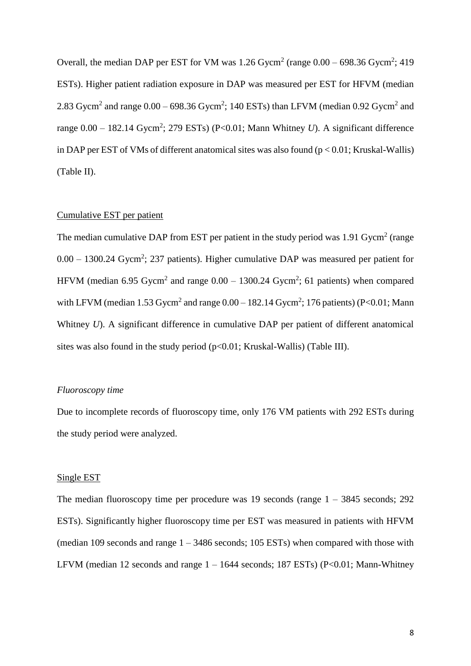Overall, the median DAP per EST for VM was  $1.26$  Gycm<sup>2</sup> (range  $0.00 - 698.36$  Gycm<sup>2</sup>; 419 ESTs). Higher patient radiation exposure in DAP was measured per EST for HFVM (median 2.83 Gycm<sup>2</sup> and range  $0.00 - 698.36$  Gycm<sup>2</sup>; 140 ESTs) than LFVM (median 0.92 Gycm<sup>2</sup> and range  $0.00 - 182.14$  Gycm<sup>2</sup>; 279 ESTs) (P<0.01; Mann Whitney *U*). A significant difference in DAP per EST of VMs of different anatomical sites was also found  $(p < 0.01;$  Kruskal-Wallis) (Table II).

# Cumulative EST per patient

The median cumulative DAP from EST per patient in the study period was  $1.91$  Gycm<sup>2</sup> (range  $0.00 - 1300.24$  Gycm<sup>2</sup>; 237 patients). Higher cumulative DAP was measured per patient for HFVM (median 6.95 Gycm<sup>2</sup> and range  $0.00 - 1300.24$  Gycm<sup>2</sup>; 61 patients) when compared with LFVM (median 1.53 Gycm<sup>2</sup> and range  $0.00 - 182.14$  Gycm<sup>2</sup>; 176 patients) (P<0.01; Mann Whitney *U*). A significant difference in cumulative DAP per patient of different anatomical sites was also found in the study period  $(p<0.01;$  Kruskal-Wallis) (Table III).

# *Fluoroscopy time*

Due to incomplete records of fluoroscopy time, only 176 VM patients with 292 ESTs during the study period were analyzed.

#### Single EST

The median fluoroscopy time per procedure was 19 seconds (range  $1 - 3845$  seconds; 292 ESTs). Significantly higher fluoroscopy time per EST was measured in patients with HFVM (median 109 seconds and range  $1 - 3486$  seconds; 105 ESTs) when compared with those with LFVM (median 12 seconds and range  $1 - 1644$  seconds; 187 ESTs) (P<0.01; Mann-Whitney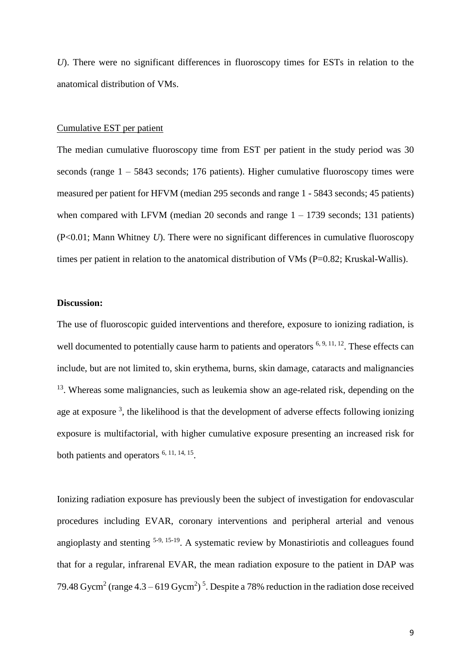*U*). There were no significant differences in fluoroscopy times for ESTs in relation to the anatomical distribution of VMs.

#### Cumulative EST per patient

The median cumulative fluoroscopy time from EST per patient in the study period was 30 seconds (range 1 – 5843 seconds; 176 patients). Higher cumulative fluoroscopy times were measured per patient for HFVM (median 295 seconds and range 1 - 5843 seconds; 45 patients) when compared with LFVM (median 20 seconds and range  $1 - 1739$  seconds; 131 patients) (P<0.01; Mann Whitney *U*). There were no significant differences in cumulative fluoroscopy times per patient in relation to the anatomical distribution of VMs (P=0.82; Kruskal-Wallis).

# **Discussion:**

The use of fluoroscopic guided interventions and therefore, exposure to ionizing radiation, is well documented to potentially cause harm to patients and operators  $6, 9, 11, 12$ . These effects can include, but are not limited to, skin erythema, burns, skin damage, cataracts and malignancies <sup>13</sup>. Whereas some malignancies, such as leukemia show an age-related risk, depending on the age at exposure<sup>3</sup>, the likelihood is that the development of adverse effects following ionizing exposure is multifactorial, with higher cumulative exposure presenting an increased risk for both patients and operators <sup>6, 11, 14, 15</sup>.

Ionizing radiation exposure has previously been the subject of investigation for endovascular procedures including EVAR, coronary interventions and peripheral arterial and venous angioplasty and stenting 5-9, 15-19. A systematic review by Monastiriotis and colleagues found that for a regular, infrarenal EVAR, the mean radiation exposure to the patient in DAP was 79.48 Gycm<sup>2</sup> (range  $4.3 - 619$  Gycm<sup>2</sup>)<sup>5</sup>. Despite a 78% reduction in the radiation dose received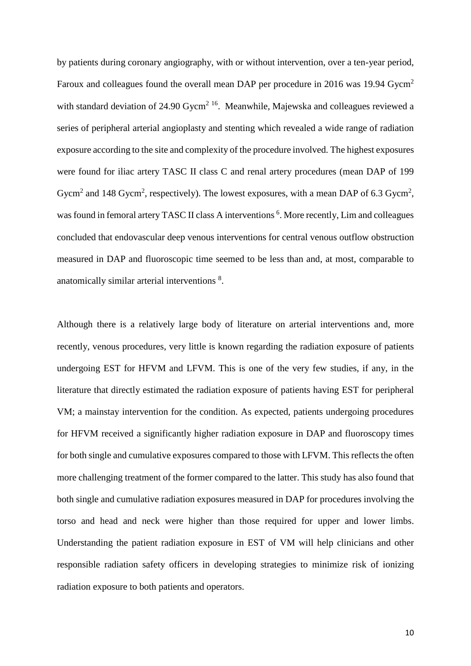by patients during coronary angiography, with or without intervention, over a ten-year period, Faroux and colleagues found the overall mean DAP per procedure in 2016 was 19.94 Gycm<sup>2</sup> with standard deviation of 24.90 Gycm<sup>2 16</sup>. Meanwhile, Majewska and colleagues reviewed a series of peripheral arterial angioplasty and stenting which revealed a wide range of radiation exposure according to the site and complexity of the procedure involved. The highest exposures were found for iliac artery TASC II class C and renal artery procedures (mean DAP of 199 Gycm<sup>2</sup> and 148 Gycm<sup>2</sup>, respectively). The lowest exposures, with a mean DAP of 6.3 Gycm<sup>2</sup>, was found in femoral artery TASC II class A interventions<sup>6</sup>. More recently, Lim and colleagues concluded that endovascular deep venous interventions for central venous outflow obstruction measured in DAP and fluoroscopic time seemed to be less than and, at most, comparable to anatomically similar arterial interventions<sup>8</sup>.

Although there is a relatively large body of literature on arterial interventions and, more recently, venous procedures, very little is known regarding the radiation exposure of patients undergoing EST for HFVM and LFVM. This is one of the very few studies, if any, in the literature that directly estimated the radiation exposure of patients having EST for peripheral VM; a mainstay intervention for the condition. As expected, patients undergoing procedures for HFVM received a significantly higher radiation exposure in DAP and fluoroscopy times for both single and cumulative exposures compared to those with LFVM. This reflects the often more challenging treatment of the former compared to the latter. This study has also found that both single and cumulative radiation exposures measured in DAP for procedures involving the torso and head and neck were higher than those required for upper and lower limbs. Understanding the patient radiation exposure in EST of VM will help clinicians and other responsible radiation safety officers in developing strategies to minimize risk of ionizing radiation exposure to both patients and operators.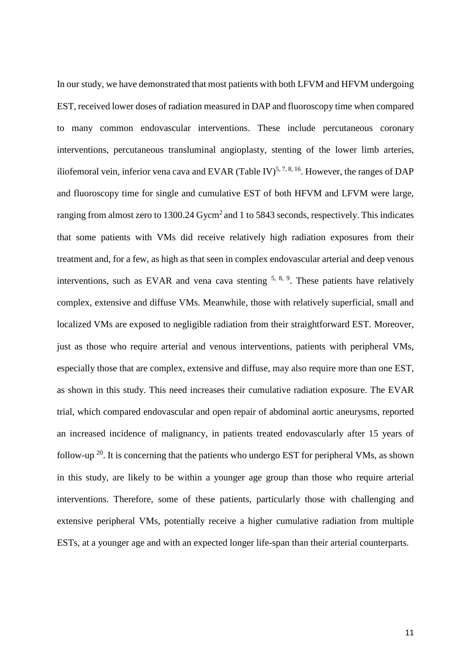In our study, we have demonstrated that most patients with both LFVM and HFVM undergoing EST, received lower doses of radiation measured in DAP and fluoroscopy time when compared to many common endovascular interventions. These include percutaneous coronary interventions, percutaneous transluminal angioplasty, stenting of the lower limb arteries, iliofemoral vein, inferior vena cava and EVAR (Table IV)<sup>5, 7, 8, 16</sup>. However, the ranges of DAP and fluoroscopy time for single and cumulative EST of both HFVM and LFVM were large, ranging from almost zero to 1300.24 Gycm<sup>2</sup> and 1 to 5843 seconds, respectively. This indicates that some patients with VMs did receive relatively high radiation exposures from their treatment and, for a few, as high as that seen in complex endovascular arterial and deep venous interventions, such as EVAR and vena cava stenting  $5, 8, 9$ . These patients have relatively complex, extensive and diffuse VMs. Meanwhile, those with relatively superficial, small and localized VMs are exposed to negligible radiation from their straightforward EST. Moreover, just as those who require arterial and venous interventions, patients with peripheral VMs, especially those that are complex, extensive and diffuse, may also require more than one EST, as shown in this study. This need increases their cumulative radiation exposure. The EVAR trial, which compared endovascular and open repair of abdominal aortic aneurysms, reported an increased incidence of malignancy, in patients treated endovascularly after 15 years of follow-up  $^{20}$ . It is concerning that the patients who undergo EST for peripheral VMs, as shown in this study, are likely to be within a younger age group than those who require arterial interventions. Therefore, some of these patients, particularly those with challenging and extensive peripheral VMs, potentially receive a higher cumulative radiation from multiple ESTs, at a younger age and with an expected longer life-span than their arterial counterparts.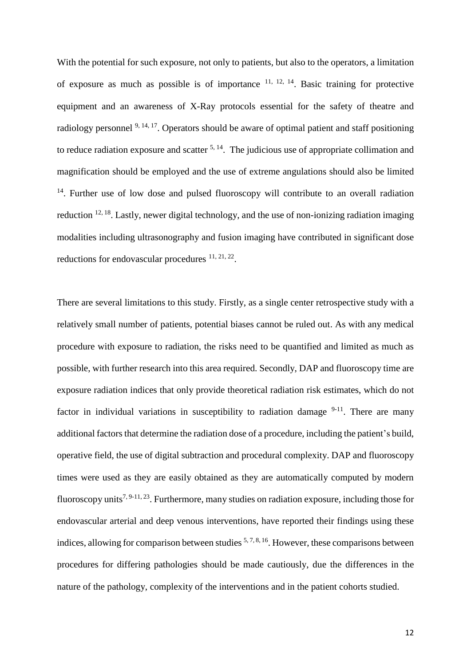With the potential for such exposure, not only to patients, but also to the operators, a limitation of exposure as much as possible is of importance  $11, 12, 14$ . Basic training for protective equipment and an awareness of X-Ray protocols essential for the safety of theatre and radiology personnel <sup>9, 14, 17</sup>. Operators should be aware of optimal patient and staff positioning to reduce radiation exposure and scatter  $5, 14$ . The judicious use of appropriate collimation and magnification should be employed and the use of extreme angulations should also be limited <sup>14</sup>. Further use of low dose and pulsed fluoroscopy will contribute to an overall radiation reduction  $12, 18$ . Lastly, newer digital technology, and the use of non-ionizing radiation imaging modalities including ultrasonography and fusion imaging have contributed in significant dose reductions for endovascular procedures  $11, 21, 22$ .

There are several limitations to this study. Firstly, as a single center retrospective study with a relatively small number of patients, potential biases cannot be ruled out. As with any medical procedure with exposure to radiation, the risks need to be quantified and limited as much as possible, with further research into this area required. Secondly, DAP and fluoroscopy time are exposure radiation indices that only provide theoretical radiation risk estimates, which do not factor in individual variations in susceptibility to radiation damage  $9-11$ . There are many additional factors that determine the radiation dose of a procedure, including the patient's build, operative field, the use of digital subtraction and procedural complexity. DAP and fluoroscopy times were used as they are easily obtained as they are automatically computed by modern fluoroscopy units<sup>7, 9-11, 23</sup>. Furthermore, many studies on radiation exposure, including those for endovascular arterial and deep venous interventions, have reported their findings using these indices, allowing for comparison between studies  $5, 7, 8, 16$ . However, these comparisons between procedures for differing pathologies should be made cautiously, due the differences in the nature of the pathology, complexity of the interventions and in the patient cohorts studied.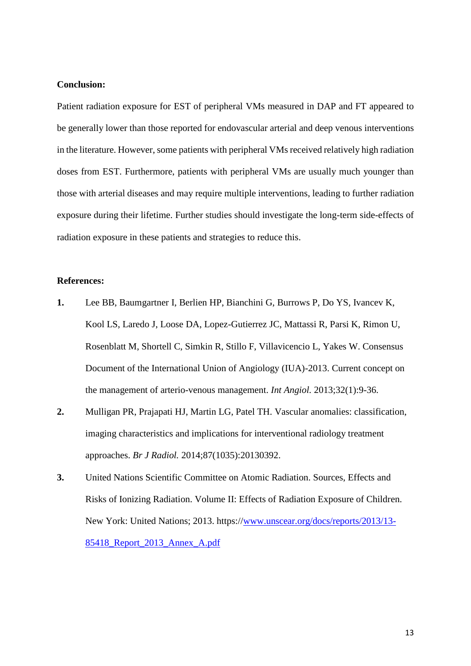# **Conclusion:**

Patient radiation exposure for EST of peripheral VMs measured in DAP and FT appeared to be generally lower than those reported for endovascular arterial and deep venous interventions in the literature. However, some patients with peripheral VMs received relatively high radiation doses from EST. Furthermore, patients with peripheral VMs are usually much younger than those with arterial diseases and may require multiple interventions, leading to further radiation exposure during their lifetime. Further studies should investigate the long-term side-effects of radiation exposure in these patients and strategies to reduce this.

# **References:**

- **1.** Lee BB, Baumgartner I, Berlien HP, Bianchini G, Burrows P, Do YS, Ivancev K, Kool LS, Laredo J, Loose DA, Lopez-Gutierrez JC, Mattassi R, Parsi K, Rimon U, Rosenblatt M, Shortell C, Simkin R, Stillo F, Villavicencio L, Yakes W. Consensus Document of the International Union of Angiology (IUA)-2013. Current concept on the management of arterio-venous management. *Int Angiol.* 2013;32(1):9-36.
- **2.** Mulligan PR, Prajapati HJ, Martin LG, Patel TH. Vascular anomalies: classification, imaging characteristics and implications for interventional radiology treatment approaches. *Br J Radiol.* 2014;87(1035):20130392.
- **3.** United Nations Scientific Committee on Atomic Radiation. Sources, Effects and Risks of Ionizing Radiation. Volume II: Effects of Radiation Exposure of Children. New York: United Nations; 2013. https:/[/www.unscear.org/docs/reports/2013/13-](http://www.unscear.org/docs/reports/2013/13-85418_Report_2013_Annex_A.pdf) [85418\\_Report\\_2013\\_Annex\\_A.pdf](http://www.unscear.org/docs/reports/2013/13-85418_Report_2013_Annex_A.pdf)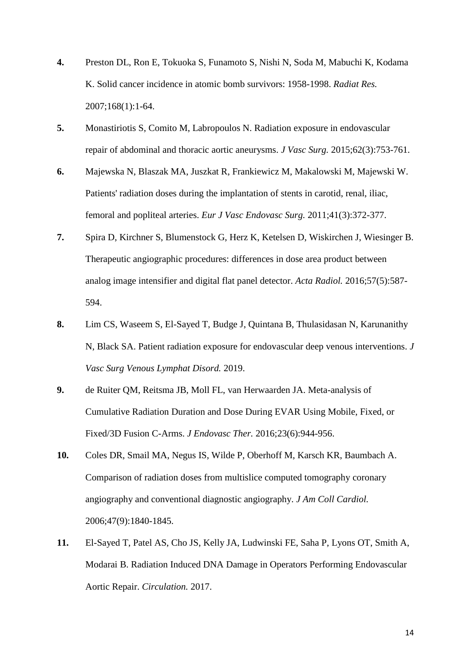- **4.** Preston DL, Ron E, Tokuoka S, Funamoto S, Nishi N, Soda M, Mabuchi K, Kodama K. Solid cancer incidence in atomic bomb survivors: 1958-1998. *Radiat Res.*  2007;168(1):1-64.
- **5.** Monastiriotis S, Comito M, Labropoulos N. Radiation exposure in endovascular repair of abdominal and thoracic aortic aneurysms. *J Vasc Surg.* 2015;62(3):753-761.
- **6.** Majewska N, Blaszak MA, Juszkat R, Frankiewicz M, Makalowski M, Majewski W. Patients' radiation doses during the implantation of stents in carotid, renal, iliac, femoral and popliteal arteries. *Eur J Vasc Endovasc Surg.* 2011;41(3):372-377.
- **7.** Spira D, Kirchner S, Blumenstock G, Herz K, Ketelsen D, Wiskirchen J, Wiesinger B. Therapeutic angiographic procedures: differences in dose area product between analog image intensifier and digital flat panel detector. *Acta Radiol.* 2016;57(5):587- 594.
- **8.** Lim CS, Waseem S, El-Sayed T, Budge J, Quintana B, Thulasidasan N, Karunanithy N, Black SA. Patient radiation exposure for endovascular deep venous interventions. *J Vasc Surg Venous Lymphat Disord.* 2019.
- **9.** de Ruiter QM, Reitsma JB, Moll FL, van Herwaarden JA. Meta-analysis of Cumulative Radiation Duration and Dose During EVAR Using Mobile, Fixed, or Fixed/3D Fusion C-Arms. *J Endovasc Ther.* 2016;23(6):944-956.
- **10.** Coles DR, Smail MA, Negus IS, Wilde P, Oberhoff M, Karsch KR, Baumbach A. Comparison of radiation doses from multislice computed tomography coronary angiography and conventional diagnostic angiography. *J Am Coll Cardiol.*  2006;47(9):1840-1845.
- **11.** El-Sayed T, Patel AS, Cho JS, Kelly JA, Ludwinski FE, Saha P, Lyons OT, Smith A, Modarai B. Radiation Induced DNA Damage in Operators Performing Endovascular Aortic Repair. *Circulation.* 2017.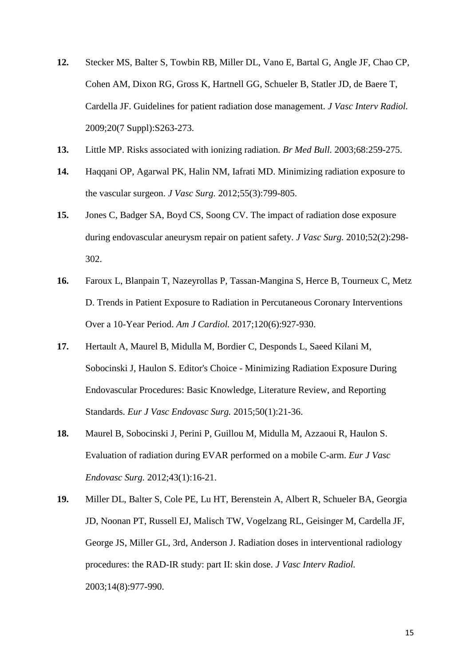- **12.** Stecker MS, Balter S, Towbin RB, Miller DL, Vano E, Bartal G, Angle JF, Chao CP, Cohen AM, Dixon RG, Gross K, Hartnell GG, Schueler B, Statler JD, de Baere T, Cardella JF. Guidelines for patient radiation dose management. *J Vasc Interv Radiol.*  2009;20(7 Suppl):S263-273.
- **13.** Little MP. Risks associated with ionizing radiation. *Br Med Bull.* 2003;68:259-275.
- **14.** Haqqani OP, Agarwal PK, Halin NM, Iafrati MD. Minimizing radiation exposure to the vascular surgeon. *J Vasc Surg.* 2012;55(3):799-805.
- **15.** Jones C, Badger SA, Boyd CS, Soong CV. The impact of radiation dose exposure during endovascular aneurysm repair on patient safety. *J Vasc Surg.* 2010;52(2):298- 302.
- **16.** Faroux L, Blanpain T, Nazeyrollas P, Tassan-Mangina S, Herce B, Tourneux C, Metz D. Trends in Patient Exposure to Radiation in Percutaneous Coronary Interventions Over a 10-Year Period. *Am J Cardiol.* 2017;120(6):927-930.
- **17.** Hertault A, Maurel B, Midulla M, Bordier C, Desponds L, Saeed Kilani M, Sobocinski J, Haulon S. Editor's Choice - Minimizing Radiation Exposure During Endovascular Procedures: Basic Knowledge, Literature Review, and Reporting Standards. *Eur J Vasc Endovasc Surg.* 2015;50(1):21-36.
- **18.** Maurel B, Sobocinski J, Perini P, Guillou M, Midulla M, Azzaoui R, Haulon S. Evaluation of radiation during EVAR performed on a mobile C-arm. *Eur J Vasc Endovasc Surg.* 2012;43(1):16-21.
- **19.** Miller DL, Balter S, Cole PE, Lu HT, Berenstein A, Albert R, Schueler BA, Georgia JD, Noonan PT, Russell EJ, Malisch TW, Vogelzang RL, Geisinger M, Cardella JF, George JS, Miller GL, 3rd, Anderson J. Radiation doses in interventional radiology procedures: the RAD-IR study: part II: skin dose. *J Vasc Interv Radiol.*  2003;14(8):977-990.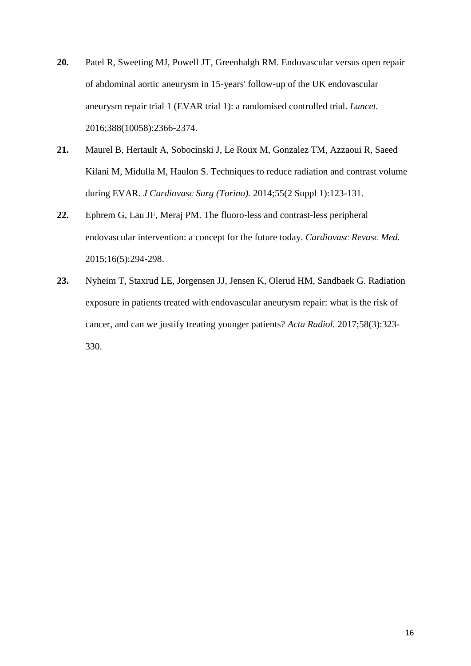- **20.** Patel R, Sweeting MJ, Powell JT, Greenhalgh RM. Endovascular versus open repair of abdominal aortic aneurysm in 15-years' follow-up of the UK endovascular aneurysm repair trial 1 (EVAR trial 1): a randomised controlled trial. *Lancet.*  2016;388(10058):2366-2374.
- **21.** Maurel B, Hertault A, Sobocinski J, Le Roux M, Gonzalez TM, Azzaoui R, Saeed Kilani M, Midulla M, Haulon S. Techniques to reduce radiation and contrast volume during EVAR. *J Cardiovasc Surg (Torino).* 2014;55(2 Suppl 1):123-131.
- **22.** Ephrem G, Lau JF, Meraj PM. The fluoro-less and contrast-less peripheral endovascular intervention: a concept for the future today. *Cardiovasc Revasc Med.*  2015;16(5):294-298.
- **23.** Nyheim T, Staxrud LE, Jorgensen JJ, Jensen K, Olerud HM, Sandbaek G. Radiation exposure in patients treated with endovascular aneurysm repair: what is the risk of cancer, and can we justify treating younger patients? *Acta Radiol.* 2017;58(3):323- 330.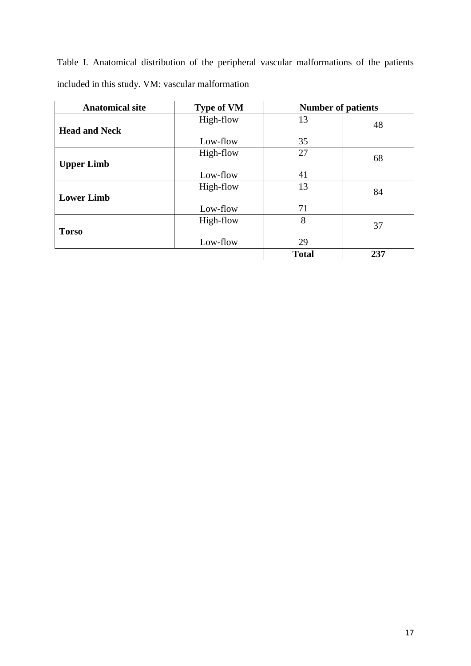Table I. Anatomical distribution of the peripheral vascular malformations of the patients included in this study. VM: vascular malformation

| <b>Anatomical site</b> | <b>Type of VM</b> | <b>Number of patients</b> |     |
|------------------------|-------------------|---------------------------|-----|
|                        | High-flow         | 13                        | 48  |
| <b>Head and Neck</b>   |                   |                           |     |
|                        | Low-flow          | 35                        |     |
|                        | High-flow         | 27                        | 68  |
| <b>Upper Limb</b>      |                   |                           |     |
|                        | Low-flow          | 41                        |     |
|                        | High-flow         | 13                        | 84  |
| <b>Lower Limb</b>      |                   |                           |     |
|                        | Low-flow          | 71                        |     |
|                        | High-flow         | 8                         | 37  |
| <b>Torso</b>           |                   |                           |     |
|                        | Low-flow          | 29                        |     |
|                        |                   | <b>Total</b>              | 237 |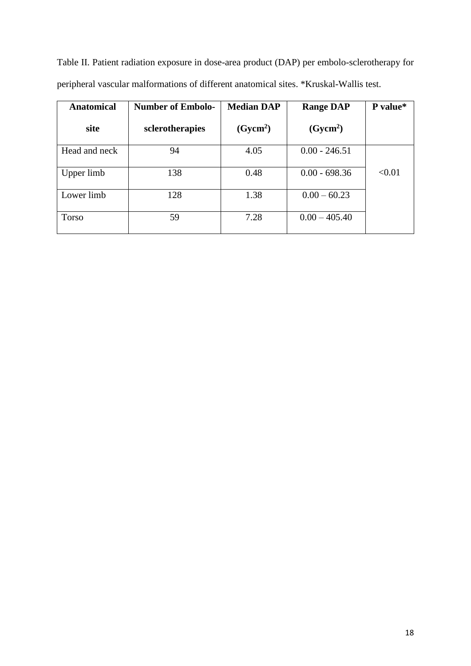Table II. Patient radiation exposure in dose-area product (DAP) per embolo-sclerotherapy for peripheral vascular malformations of different anatomical sites. \*Kruskal-Wallis test.

| <b>Anatomical</b> | <b>Number of Embolo-</b> | <b>Median DAP</b>    | <b>Range DAP</b>     | P value* |
|-------------------|--------------------------|----------------------|----------------------|----------|
| site              | sclerotherapies          | (Gycm <sup>2</sup> ) | (Gycm <sup>2</sup> ) |          |
| Head and neck     | 94                       | 4.05                 | $0.00 - 246.51$      |          |
| Upper limb        | 138                      | 0.48                 | $0.00 - 698.36$      | < 0.01   |
| Lower limb        | 128                      | 1.38                 | $0.00 - 60.23$       |          |
| <b>Torso</b>      | 59                       | 7.28                 | $0.00 - 405.40$      |          |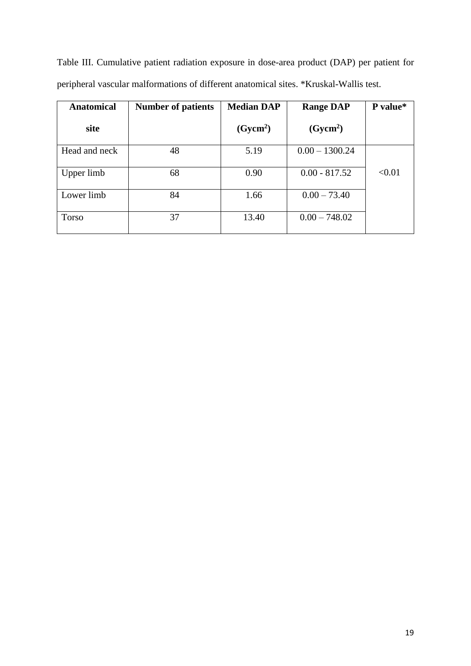|  | Table III. Cumulative patient radiation exposure in dose-area product (DAP) per patient for |  |  |  |  |  |
|--|---------------------------------------------------------------------------------------------|--|--|--|--|--|
|  | peripheral vascular malformations of different anatomical sites. *Kruskal-Wallis test.      |  |  |  |  |  |

| <b>Anatomical</b> | <b>Number of patients</b> | <b>Median DAP</b>    | <b>Range DAP</b>     | P value* |
|-------------------|---------------------------|----------------------|----------------------|----------|
| site              |                           | (Gycm <sup>2</sup> ) | (Gycm <sup>2</sup> ) |          |
| Head and neck     | 48                        | 5.19                 | $0.00 - 1300.24$     |          |
| Upper limb        | 68                        | 0.90                 | $0.00 - 817.52$      | < 0.01   |
| Lower limb        | 84                        | 1.66                 | $0.00 - 73.40$       |          |
| Torso             | 37                        | 13.40                | $0.00 - 748.02$      |          |